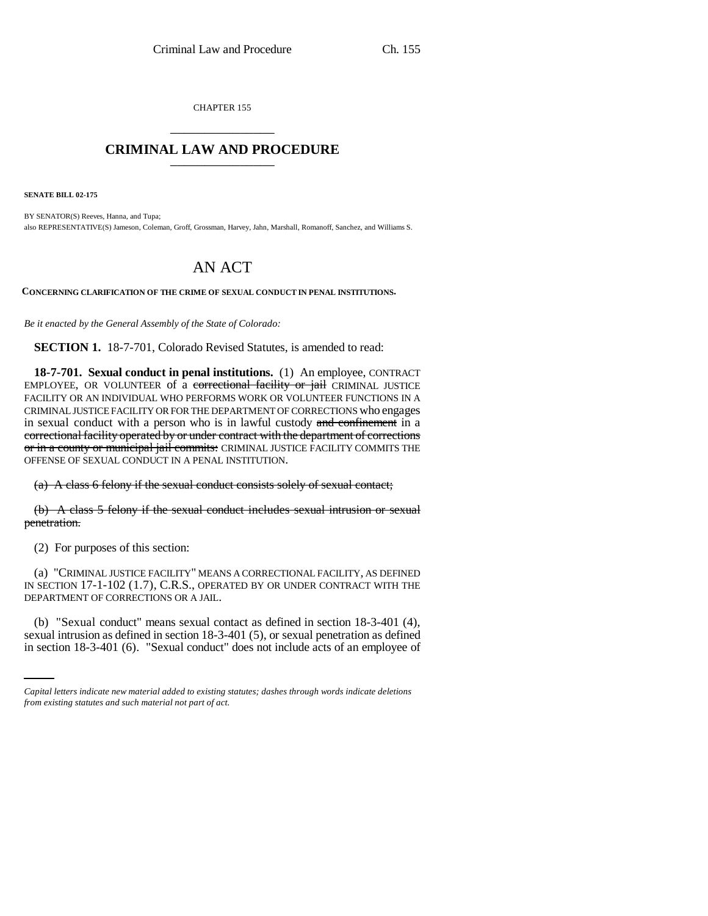CHAPTER 155 \_\_\_\_\_\_\_\_\_\_\_\_\_\_\_

## **CRIMINAL LAW AND PROCEDURE** \_\_\_\_\_\_\_\_\_\_\_\_\_\_\_

**SENATE BILL 02-175**

BY SENATOR(S) Reeves, Hanna, and Tupa; also REPRESENTATIVE(S) Jameson, Coleman, Groff, Grossman, Harvey, Jahn, Marshall, Romanoff, Sanchez, and Williams S.

## AN ACT

**CONCERNING CLARIFICATION OF THE CRIME OF SEXUAL CONDUCT IN PENAL INSTITUTIONS.**

*Be it enacted by the General Assembly of the State of Colorado:*

**SECTION 1.** 18-7-701, Colorado Revised Statutes, is amended to read:

**18-7-701. Sexual conduct in penal institutions.** (1) An employee, CONTRACT EMPLOYEE, OR VOLUNTEER of a correctional facility or jail CRIMINAL JUSTICE FACILITY OR AN INDIVIDUAL WHO PERFORMS WORK OR VOLUNTEER FUNCTIONS IN A CRIMINAL JUSTICE FACILITY OR FOR THE DEPARTMENT OF CORRECTIONS who engages in sexual conduct with a person who is in lawful custody and confinement in a correctional facility operated by or under contract with the department of corrections or in a county or municipal jail commits: CRIMINAL JUSTICE FACILITY COMMITS THE OFFENSE OF SEXUAL CONDUCT IN A PENAL INSTITUTION.

(a) A class 6 felony if the sexual conduct consists solely of sexual contact;

(b) A class 5 felony if the sexual conduct includes sexual intrusion or sexual penetration.

(2) For purposes of this section:

(a) "CRIMINAL JUSTICE FACILITY" MEANS A CORRECTIONAL FACILITY, AS DEFINED IN SECTION 17-1-102 (1.7), C.R.S., OPERATED BY OR UNDER CONTRACT WITH THE DEPARTMENT OF CORRECTIONS OR A JAIL.

(b) "Sexual conduct" means sexual contact as defined in section 18-3-401 (4), sexual intrusion as defined in section 18-3-401 (5), or sexual penetration as defined in section 18-3-401 (6). "Sexual conduct" does not include acts of an employee of

*Capital letters indicate new material added to existing statutes; dashes through words indicate deletions from existing statutes and such material not part of act.*